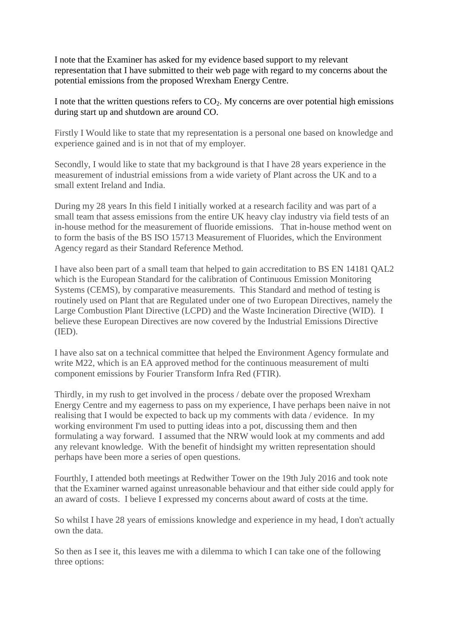I note that the Examiner has asked for my evidence based support to my relevant representation that I have submitted to their web page with regard to my concerns about the potential emissions from the proposed Wrexham Energy Centre.

I note that the written questions refers to  $CO<sub>2</sub>$ . My concerns are over potential high emissions during start up and shutdown are around CO.

Firstly I Would like to state that my representation is a personal one based on knowledge and experience gained and is in not that of my employer.

Secondly, I would like to state that my background is that I have 28 years experience in the measurement of industrial emissions from a wide variety of Plant across the UK and to a small extent Ireland and India.

During my 28 years In this field I initially worked at a research facility and was part of a small team that assess emissions from the entire UK heavy clay industry via field tests of an in-house method for the measurement of fluoride emissions. That in-house method went on to form the basis of the BS ISO 15713 Measurement of Fluorides, which the Environment Agency regard as their Standard Reference Method.

I have also been part of a small team that helped to gain accreditation to BS EN 14181 QAL2 which is the European Standard for the calibration of Continuous Emission Monitoring Systems (CEMS), by comparative measurements. This Standard and method of testing is routinely used on Plant that are Regulated under one of two European Directives, namely the Large Combustion Plant Directive (LCPD) and the Waste Incineration Directive (WID). I believe these European Directives are now covered by the Industrial Emissions Directive (IED).

I have also sat on a technical committee that helped the Environment Agency formulate and write M22, which is an EA approved method for the continuous measurement of multi component emissions by Fourier Transform Infra Red (FTIR).

Thirdly, in my rush to get involved in the process / debate over the proposed Wrexham Energy Centre and my eagerness to pass on my experience, I have perhaps been naive in not realising that I would be expected to back up my comments with data / evidence. In my working environment I'm used to putting ideas into a pot, discussing them and then formulating a way forward. I assumed that the NRW would look at my comments and add any relevant knowledge. With the benefit of hindsight my written representation should perhaps have been more a series of open questions.

Fourthly, I attended both meetings at Redwither Tower on the 19th July 2016 and took note that the Examiner warned against unreasonable behaviour and that either side could apply for an award of costs. I believe I expressed my concerns about award of costs at the time.

So whilst I have 28 years of emissions knowledge and experience in my head, I don't actually own the data.

So then as I see it, this leaves me with a dilemma to which I can take one of the following three options: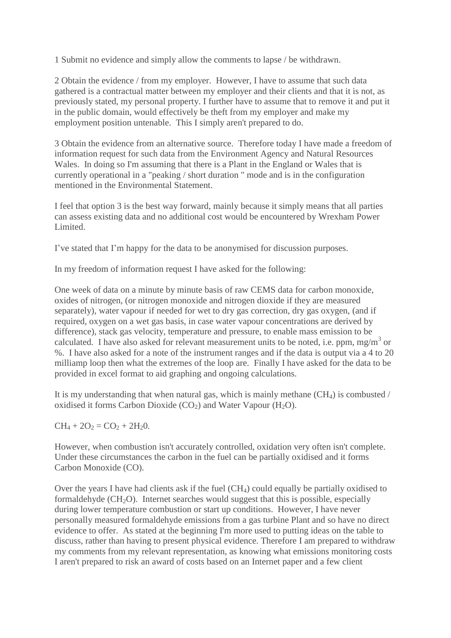1 Submit no evidence and simply allow the comments to lapse / be withdrawn.

2 Obtain the evidence / from my employer. However, I have to assume that such data gathered is a contractual matter between my employer and their clients and that it is not, as previously stated, my personal property. I further have to assume that to remove it and put it in the public domain, would effectively be theft from my employer and make my employment position untenable. This I simply aren't prepared to do.

3 Obtain the evidence from an alternative source. Therefore today I have made a freedom of information request for such data from the Environment Agency and Natural Resources Wales. In doing so I'm assuming that there is a Plant in the England or Wales that is currently operational in a "peaking / short duration " mode and is in the configuration mentioned in the Environmental Statement.

I feel that option 3 is the best way forward, mainly because it simply means that all parties can assess existing data and no additional cost would be encountered by Wrexham Power Limited.

I've stated that I'm happy for the data to be anonymised for discussion purposes.

In my freedom of information request I have asked for the following:

One week of data on a minute by minute basis of raw CEMS data for carbon monoxide, oxides of nitrogen, (or nitrogen monoxide and nitrogen dioxide if they are measured separately), water vapour if needed for wet to dry gas correction, dry gas oxygen, (and if required, oxygen on a wet gas basis, in case water vapour concentrations are derived by difference), stack gas velocity, temperature and pressure, to enable mass emission to be calculated. I have also asked for relevant measurement units to be noted, i.e. ppm, mg/m<sup>3</sup> or %. I have also asked for a note of the instrument ranges and if the data is output via a 4 to 20 milliamp loop then what the extremes of the loop are. Finally I have asked for the data to be provided in excel format to aid graphing and ongoing calculations.

It is my understanding that when natural gas, which is mainly methane  $(CH<sub>4</sub>)$  is combusted / oxidised it forms Carbon Dioxide  $(CO_2)$  and Water Vapour  $(H_2O)$ .

 $CH_4 + 2O_2 = CO_2 + 2H_2O.$ 

However, when combustion isn't accurately controlled, oxidation very often isn't complete. Under these circumstances the carbon in the fuel can be partially oxidised and it forms Carbon Monoxide (CO).

Over the years I have had clients ask if the fuel (CH4) could equally be partially oxidised to formaldehyde  $(CH<sub>2</sub>O)$ . Internet searches would suggest that this is possible, especially during lower temperature combustion or start up conditions. However, I have never personally measured formaldehyde emissions from a gas turbine Plant and so have no direct evidence to offer. As stated at the beginning I'm more used to putting ideas on the table to discuss, rather than having to present physical evidence. Therefore I am prepared to withdraw my comments from my relevant representation, as knowing what emissions monitoring costs I aren't prepared to risk an award of costs based on an Internet paper and a few client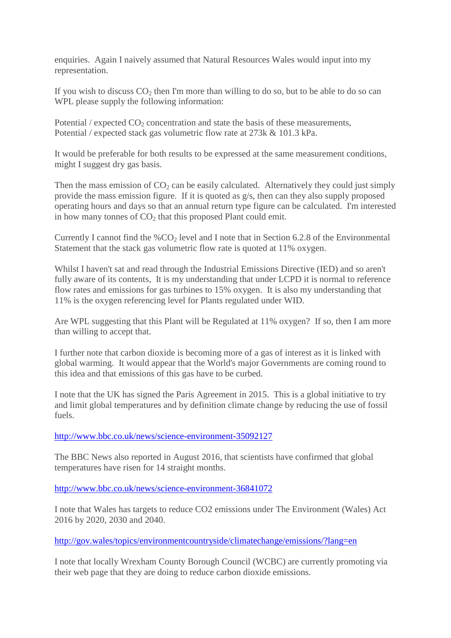enquiries. Again I naively assumed that Natural Resources Wales would input into my representation.

If you wish to discuss  $CO<sub>2</sub>$  then I'm more than willing to do so, but to be able to do so can WPL please supply the following information:

Potential  $/$  expected  $CO<sub>2</sub>$  concentration and state the basis of these measurements, Potential / expected stack gas volumetric flow rate at 273k & 101.3 kPa.

It would be preferable for both results to be expressed at the same measurement conditions, might I suggest dry gas basis.

Then the mass emission of  $CO<sub>2</sub>$  can be easily calculated. Alternatively they could just simply provide the mass emission figure. If it is quoted as g/s, then can they also supply proposed operating hours and days so that an annual return type figure can be calculated. I'm interested in how many tonnes of  $CO<sub>2</sub>$  that this proposed Plant could emit.

Currently I cannot find the  $\%CO_2$  level and I note that in Section 6.2.8 of the Environmental Statement that the stack gas volumetric flow rate is quoted at 11% oxygen.

Whilst I haven't sat and read through the Industrial Emissions Directive (IED) and so aren't fully aware of its contents. It is my understanding that under LCPD it is normal to reference flow rates and emissions for gas turbines to 15% oxygen. It is also my understanding that 11% is the oxygen referencing level for Plants regulated under WID.

Are WPL suggesting that this Plant will be Regulated at 11% oxygen? If so, then I am more than willing to accept that.

I further note that carbon dioxide is becoming more of a gas of interest as it is linked with global warming. It would appear that the World's major Governments are coming round to this idea and that emissions of this gas have to be curbed.

I note that the UK has signed the Paris Agreement in 2015. This is a global initiative to try and limit global temperatures and by definition climate change by reducing the use of fossil fuels.

<http://www.bbc.co.uk/news/science-environment-35092127>

The BBC News also reported in August 2016, that scientists have confirmed that global temperatures have risen for 14 straight months.

<http://www.bbc.co.uk/news/science-environment-36841072>

I note that Wales has targets to reduce CO2 emissions under The Environment (Wales) Act 2016 by 2020, 2030 and 2040.

<http://gov.wales/topics/environmentcountryside/climatechange/emissions/?lang=en>

I note that locally Wrexham County Borough Council (WCBC) are currently promoting via their web page that they are doing to reduce carbon dioxide emissions.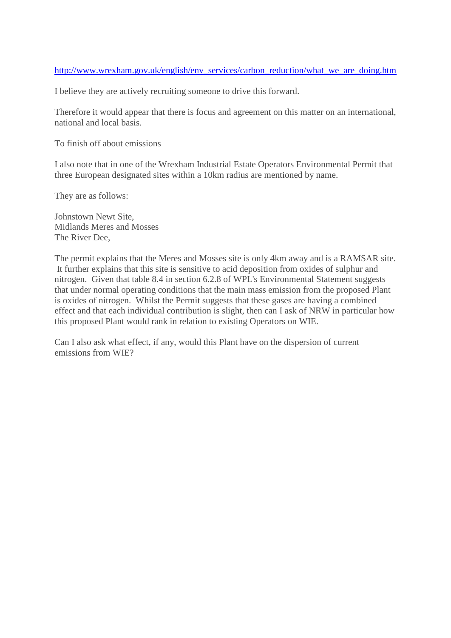### [http://www.wrexham.gov.uk/english/env\\_services/carbon\\_reduction/what\\_we\\_are\\_doing.htm](http://www.wrexham.gov.uk/english/env_services/carbon_reduction/what_we_are_doing.htm)

I believe they are actively recruiting someone to drive this forward.

Therefore it would appear that there is focus and agreement on this matter on an international, national and local basis.

To finish off about emissions

I also note that in one of the Wrexham Industrial Estate Operators Environmental Permit that three European designated sites within a 10km radius are mentioned by name.

They are as follows:

Johnstown Newt Site, Midlands Meres and Mosses The River Dee,

The permit explains that the Meres and Mosses site is only 4km away and is a RAMSAR site. It further explains that this site is sensitive to acid deposition from oxides of sulphur and nitrogen. Given that table 8.4 in section 6.2.8 of WPL's Environmental Statement suggests that under normal operating conditions that the main mass emission from the proposed Plant is oxides of nitrogen. Whilst the Permit suggests that these gases are having a combined effect and that each individual contribution is slight, then can I ask of NRW in particular how this proposed Plant would rank in relation to existing Operators on WIE.

Can I also ask what effect, if any, would this Plant have on the dispersion of current emissions from WIE?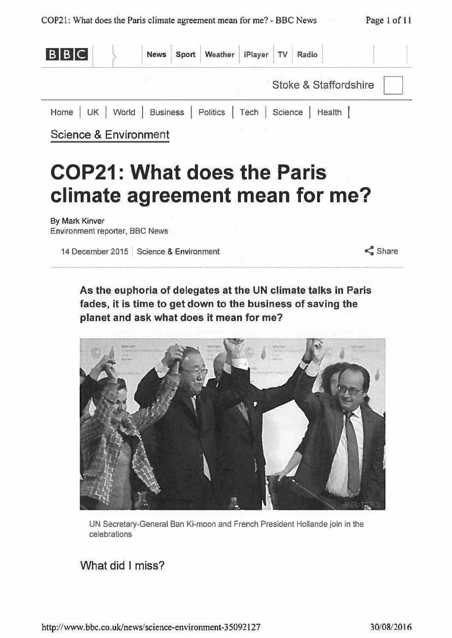

# **COP21: What does the Paris** climate agreement mean for me?

**By Mark Kinver** Environment reporter, BBC News

14 December 2015 | Science & Environment

 $\leq$  Share

As the euphoria of delegates at the UN climate talks in Paris fades, it is time to get down to the business of saving the planet and ask what does it mean for me?



UN Secretary-General Ban Ki-moon and French President Hollande join in the celebrations

## What did I miss?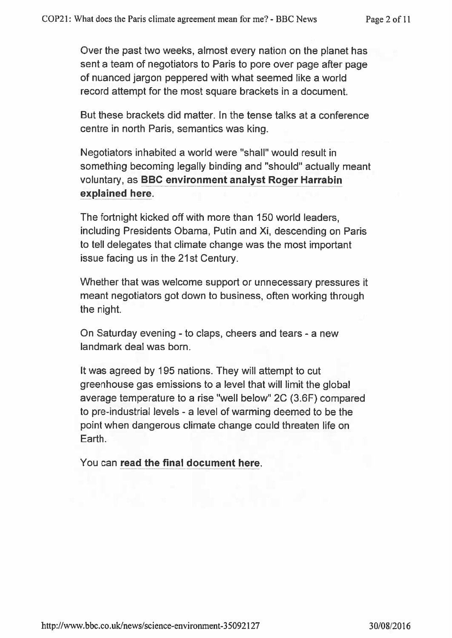Over the past two weeks, almost every nation on the planet has sent a team of negotiators to Paris to pore over page after page of nuanced jargon peppered with what seemed like a world record attempt for the most square brackets in a document.

But these brackets did matter. In the tense talks at a conference centre in north Paris, semantics was king.

Negotiators inhabited a world were "shall" would result in something becoming legally binding and "should" actually meant voluntary, as BBC environment analyst Roger Harrabin explained here.

The fortnight kicked off with more than 150 world leaders, including Presidents Obama, Putin and Xi, descending on Paris to tell delegates that climate change was the most important issue facing us in the 21st Century.

Whether that was welcome support or unnecessary pressures it meant negotiators got down to business, often working through the night.

On Saturday evening - to claps, cheers and tears - a new landmark deal was born.

It was agreed by 195 nations. They will attempt to cut greenhouse gas emissions to a level that will limit the global average temperature to a rise "well below" 2C (3.6F) compared to pre-industrial levels - a level of warming deemed to be the point when dangerous climate change could threaten life on Earth.

You can read the final document here.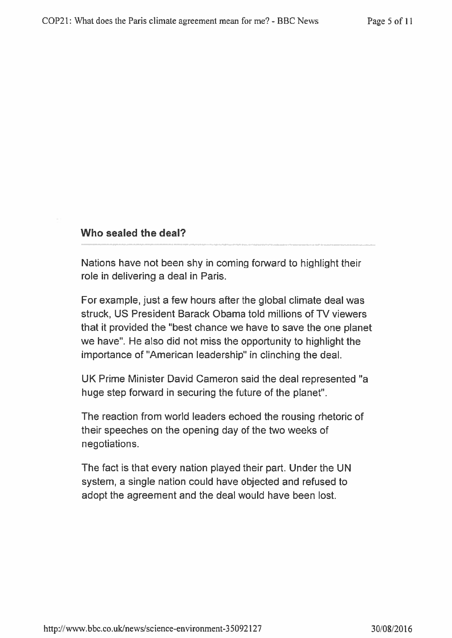## Who sealed the deal?

Nations have not been shy in coming forward to highlight their role in delivering a deal in Paris.

For example, just a few hours after the global climate deal was struck, US President Barack Obama told millions of TV viewers that it provided the "best chance we have to save the one planet we have". He also did not miss the opportunity to highlight the importance of "American leadership" in clinching the deal.

UK Prime Minister David Cameron said the deal represented "a huge step forward in securing the future of the planet".

The reaction from world leaders echoed the rousing rhetoric of their speeches on the opening day of the two weeks of negotiations.

The fact is that every nation played their part. Under the UN system, a single nation could have objected and refused to adopt the agreement and the deal would have been lost.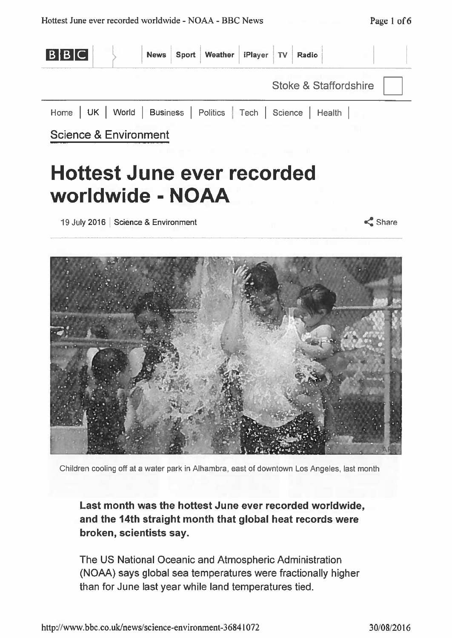

19 July 2016 | Science & Environment

 $\leq$  Share



Children cooling off at a water park in Alhambra, east of downtown Los Angeles, last month

Last month was the hottest June ever recorded worldwide, and the 14th straight month that global heat records were broken, scientists say.

The US National Oceanic and Atmospheric Administration (NOAA) says global sea temperatures were fractionally higher than for June last year while land temperatures tied.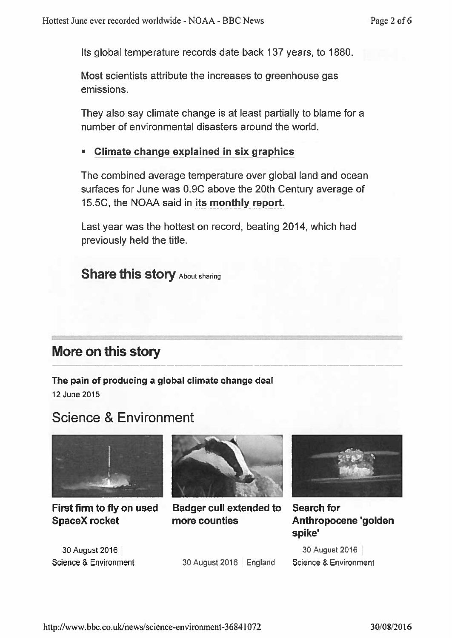Its global temperature records date back 137 years, to 1880.

Most scientists attribute the increases to greenhouse gas emissions

They also say climate change is at least partially to blame for a number of environmental disasters around the world.

## Climate change explained in six graphics

The combined average temperature over global land and ocean surfaces for June was 0.9C above the 20th Century average of 15.5C, the NOAA said in its monthly report.

Last year was the hottest on record, beating 2014, which had previously held the title.

**Share this story About sharing** 

# More on this story

The pain of producing a global climate change deal 12 June 2015

# **Science & Environment**



First firm to fly on used **SpaceX rocket** 

30 August 2016 Science & Environment



**Badger cull extended to** more counties



**Search for** Anthropocene 'golden spike'

30 August 2016 Science & Environment

30 August 2016 | England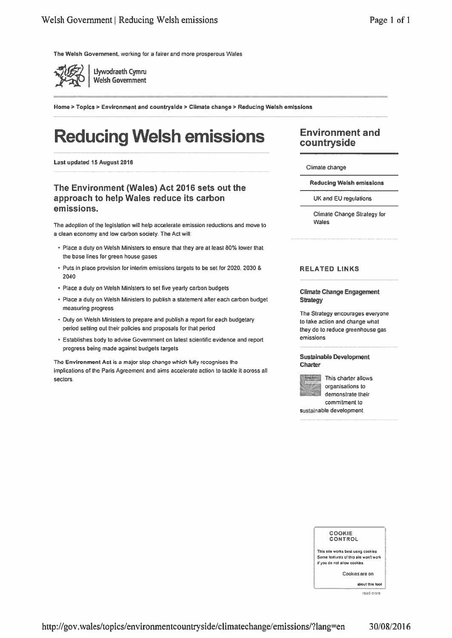The Welsh Government, working for a fairer and more prosperous Wales



Home > Topics > Environment and countryside > Climate change > Reducing Weish emissions

# **Reducing Welsh emissions**

Last updated 15 August 2016

### The Environment (Wales) Act 2016 sets out the approach to help Wales reduce its carbon emissions.

The adoption of the legislation will help accelerate emission reductions and move to a clean economy and low carbon society. The Act will:

- . Place a duty on Welsh Ministers to ensure that they are at least 80% lower that the base lines for green house gases
- Puts in place provision for interim emissions targets to be set for 2020, 2030 & 2040
- Place a duty on Welsh Ministers to set five yearly carbon budgets
- Place a duly on Welsh Ministers to publish a statement after each carbon budget measuring progress
- Duty on Welsh Ministers to prepare and publish a report for each budgetary period setting out their policies and proposals for that period
- Establishes body to advise Government on latest scientific evidence and report progress being made against budgets targets

The Environment Act is a major step change which fully recognises the implications of the Paris Agreement and aims accelerate action to tackle it across all sectors

## **Environment and** countryside

Climate change

**Reducing Welsh emissions** 

UK and EU regulations

Climate Change Strategy for Wales

#### **RELATED LINKS**

#### **Climate Change Engagement Strategy**

The Strategy encourages everyone to take action and change what they do to reduce greenhouse gas emissions

#### **Sustainable Development** Charter



This charter allows organisations to demonstrate their commitment to

sustainable development.

#### COOKIE CONTROL

This aite works best using cookies Some features of this site won't work if you do not atlow cookies.

Cookies are on

about this tool read more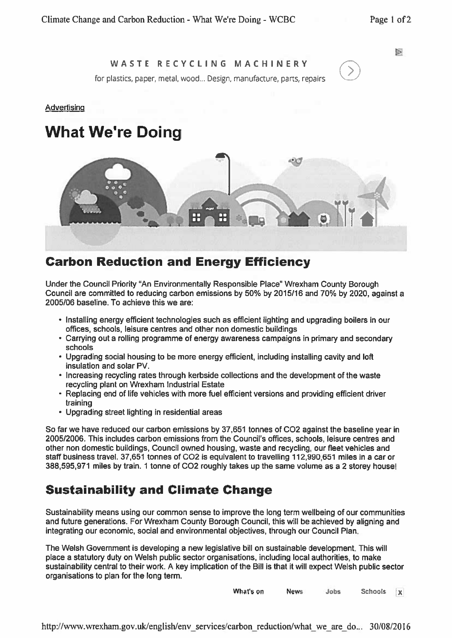### WASTE RECYCLING MACHINERY

for plastics, paper, metal, wood... Design, manufacture, parts, repairs

#### Advertising

# **What We're Doing**



## **Carbon Reduction and Energy Efficiency**

Under the Council Priority "An Environmentally Responsible Place" Wrexham County Borough Council are committed to reducing carbon emissions by 50% by 2015/16 and 70% by 2020, against a 2005/06 baseline. To achieve this we are:

- Installing energy efficient technologies such as efficient lighting and upgrading boilers in our offices, schools, leisure centres and other non domestic buildings
- Carrying out a rolling programme of energy awareness campaigns in primary and secondary schools
- . Upgrading social housing to be more energy efficient, including installing cavity and loft insulation and solar PV.
- Increasing recycling rates through kerbside collections and the development of the waste recycling plant on Wrexham Industrial Estate
- Replacing end of life vehicles with more fuel efficient versions and providing efficient driver training
- Upgrading street lighting in residential areas

So far we have reduced our carbon emissions by 37,651 tonnes of CO2 against the baseline year in 2005/2006. This includes carbon emissions from the Council's offices, schools, leisure centres and other non domestic buildings, Council owned housing, waste and recycling, our fleet vehicles and staff business travel. 37,651 tonnes of CO2 is equivalent to travelling 112,990,651 miles in a car or 388,595,971 miles by train. 1 tonne of CO2 roughly takes up the same volume as a 2 storey house!

## **Sustainability and Climate Change**

Sustainability means using our common sense to improve the long term wellbeing of our communities and future generations. For Wrexham County Borough Council, this will be achieved by aligning and integrating our economic, social and environmental objectives, through our Council Plan.

The Welsh Government is developing a new legislative bill on sustainable development. This will place a statutory duty on Welsh public sector organisations, including local authorities, to make sustainability central to their work. A key implication of the Bill is that it will expect Welsh public sector organisations to plan for the long term.

> What's on **News** Jobs **Schools**  $\mathbf{x}$